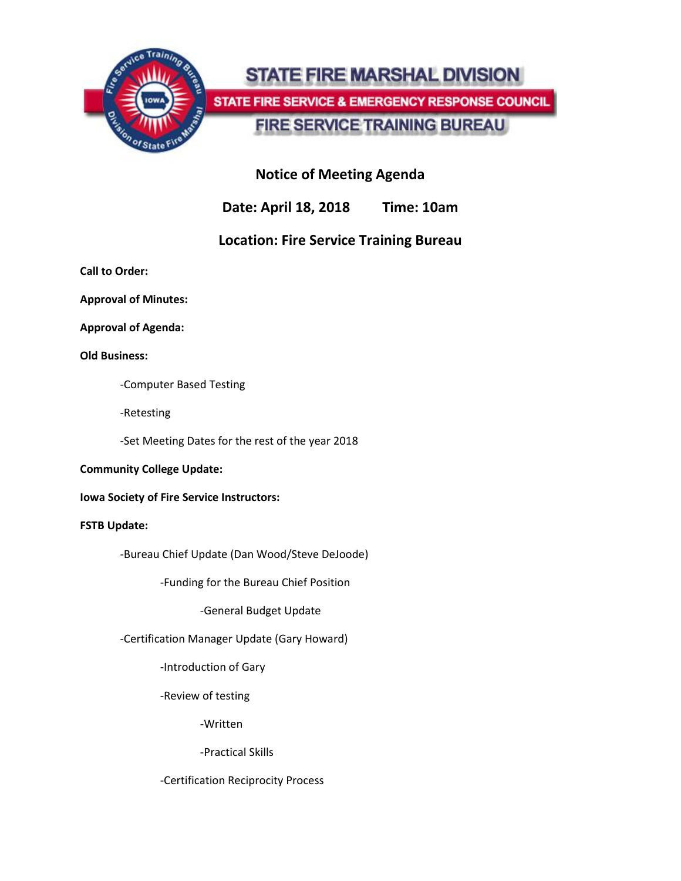

# **STATE FIRE MARSHAL DIVISION**

STATE FIRE SERVICE & EMERGENCY RESPONSE COUNCIL

**FIRE SERVICE TRAINING BUREAU** 

## **Notice of Meeting Agenda**

**Date: April 18, 2018 Time: 10am**

## **Location: Fire Service Training Bureau**

**Call to Order:**

**Approval of Minutes:**

**Approval of Agenda:**

**Old Business:**

-Computer Based Testing

-Retesting

-Set Meeting Dates for the rest of the year 2018

## **Community College Update:**

**Iowa Society of Fire Service Instructors:**

## **FSTB Update:**

-Bureau Chief Update (Dan Wood/Steve DeJoode)

-Funding for the Bureau Chief Position

-General Budget Update

-Certification Manager Update (Gary Howard)

-Introduction of Gary

-Review of testing

-Written

-Practical Skills

## -Certification Reciprocity Process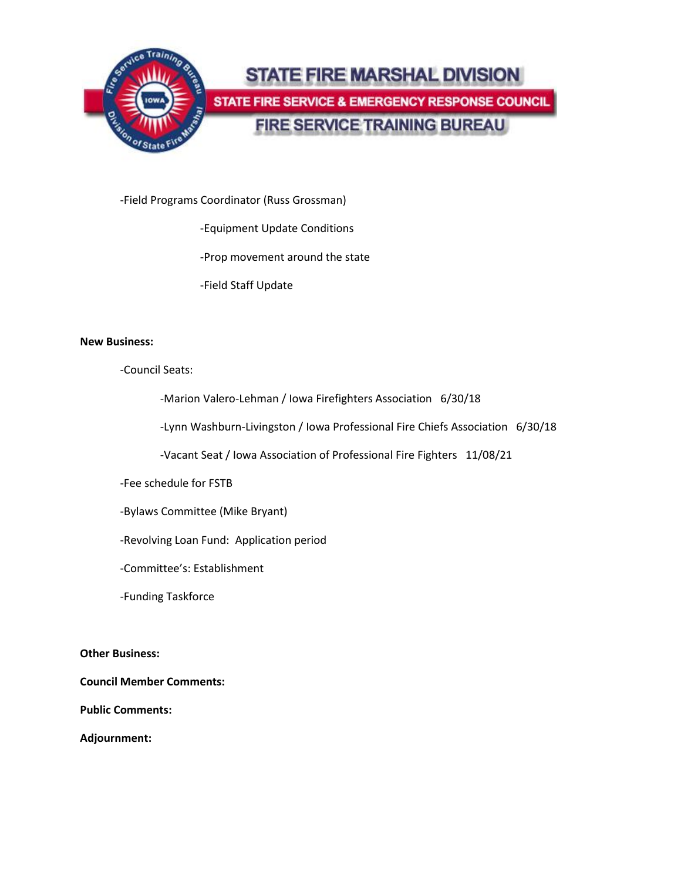

-Field Programs Coordinator (Russ Grossman)

-Equipment Update Conditions

-Prop movement around the state

-Field Staff Update

#### **New Business:**

-Council Seats:

-Marion Valero-Lehman / Iowa Firefighters Association 6/30/18

-Lynn Washburn-Livingston / Iowa Professional Fire Chiefs Association 6/30/18

-Vacant Seat / Iowa Association of Professional Fire Fighters 11/08/21

-Fee schedule for FSTB

-Bylaws Committee (Mike Bryant)

-Revolving Loan Fund: Application period

-Committee's: Establishment

-Funding Taskforce

**Other Business:**

**Council Member Comments:**

**Public Comments:**

**Adjournment:**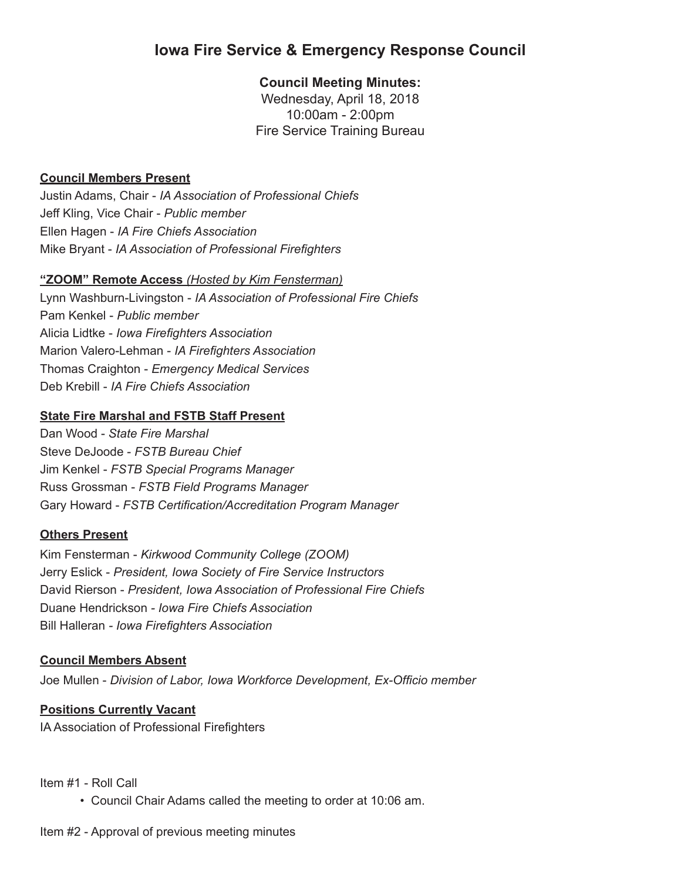## **Iowa Fire Service & Emergency Response Council**

## **Council Meeting Minutes:**

Wednesday, April 18, 2018 10:00am - 2:00pm Fire Service Training Bureau

## **Council Members Present**

Justin Adams, Chair - *IA Association of Professional Chiefs* Jeff Kling, Vice Chair - *Public member* Ellen Hagen - *IA Fire Chiefs Association*  Mike Bryant - *IA Association of Professional Firefighters*

#### **"ZOOM" Remote Access** *(Hosted by Kim Fensterman)*

Lynn Washburn-Livingston - *IA Association of Professional Fire Chiefs* Pam Kenkel - *Public member* Alicia Lidtke - *Iowa Firefighters Association* Marion Valero-Lehman - *IA Firefighters Association* Thomas Craighton - *Emergency Medical Services* Deb Krebill - *IA Fire Chiefs Association*

## **State Fire Marshal and FSTB Staff Present**

Dan Wood - *State Fire Marshal* Steve DeJoode - *FSTB Bureau Chief* Jim Kenkel - *FSTB Special Programs Manager* Russ Grossman - *FSTB Field Programs Manager* Gary Howard - *FSTB Certification/Accreditation Program Manager*

#### **Others Present**

Kim Fensterman - *Kirkwood Community College (ZOOM)* Jerry Eslick - *President, Iowa Society of Fire Service Instructors* David Rierson - *President, Iowa Association of Professional Fire Chiefs* Duane Hendrickson *- Iowa Fire Chiefs Association* Bill Halleran *- Iowa Firefighters Association*

#### **Council Members Absent**

Joe Mullen - *Division of Labor, Iowa Workforce Development, Ex-Officio member*

## **Positions Currently Vacant**

IA Association of Professional Firefighters

Item #1 - Roll Call

• Council Chair Adams called the meeting to order at 10:06 am.

Item #2 - Approval of previous meeting minutes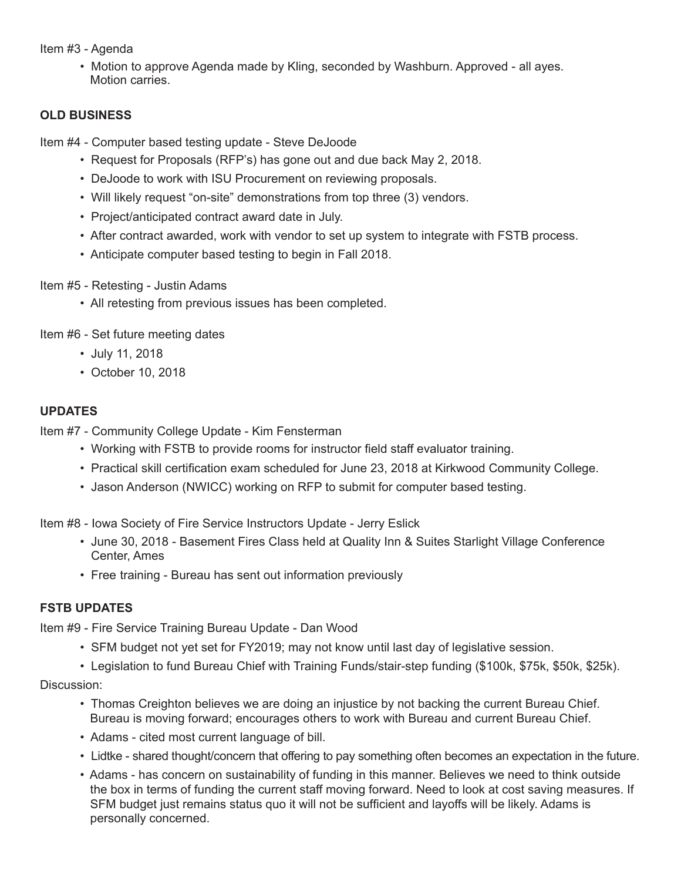Item #3 - Agenda

• Motion to approve Agenda made by Kling, seconded by Washburn. Approved - all ayes. Motion carries.

## **OLD BUSINESS**

Item #4 - Computer based testing update - Steve DeJoode

- Request for Proposals (RFP's) has gone out and due back May 2, 2018.
- DeJoode to work with ISU Procurement on reviewing proposals.
- Will likely request "on-site" demonstrations from top three (3) vendors.
- Project/anticipated contract award date in July.
- After contract awarded, work with vendor to set up system to integrate with FSTB process.
- Anticipate computer based testing to begin in Fall 2018.

Item #5 - Retesting - Justin Adams

• All retesting from previous issues has been completed.

Item #6 - Set future meeting dates

- July 11, 2018
- October 10, 2018

## **UPDATES**

Item #7 - Community College Update - Kim Fensterman

- Working with FSTB to provide rooms for instructor field staff evaluator training.
- Practical skill certification exam scheduled for June 23, 2018 at Kirkwood Community College.
- Jason Anderson (NWICC) working on RFP to submit for computer based testing.

Item #8 - Iowa Society of Fire Service Instructors Update - Jerry Eslick

- June 30, 2018 Basement Fires Class held at Quality Inn & Suites Starlight Village Conference Center, Ames
- Free training Bureau has sent out information previously

## **FSTB UPDATES**

Item #9 - Fire Service Training Bureau Update - Dan Wood

- SFM budget not yet set for FY2019; may not know until last day of legislative session.
- Legislation to fund Bureau Chief with Training Funds/stair-step funding (\$100k, \$75k, \$50k, \$25k).

## Discussion:

- Thomas Creighton believes we are doing an injustice by not backing the current Bureau Chief. Bureau is moving forward; encourages others to work with Bureau and current Bureau Chief.
- Adams cited most current language of bill.
- Lidtke shared thought/concern that offering to pay something often becomes an expectation in the future.
- Adams has concern on sustainability of funding in this manner. Believes we need to think outside the box in terms of funding the current staff moving forward. Need to look at cost saving measures. If SFM budget just remains status quo it will not be sufficient and layoffs will be likely. Adams is personally concerned.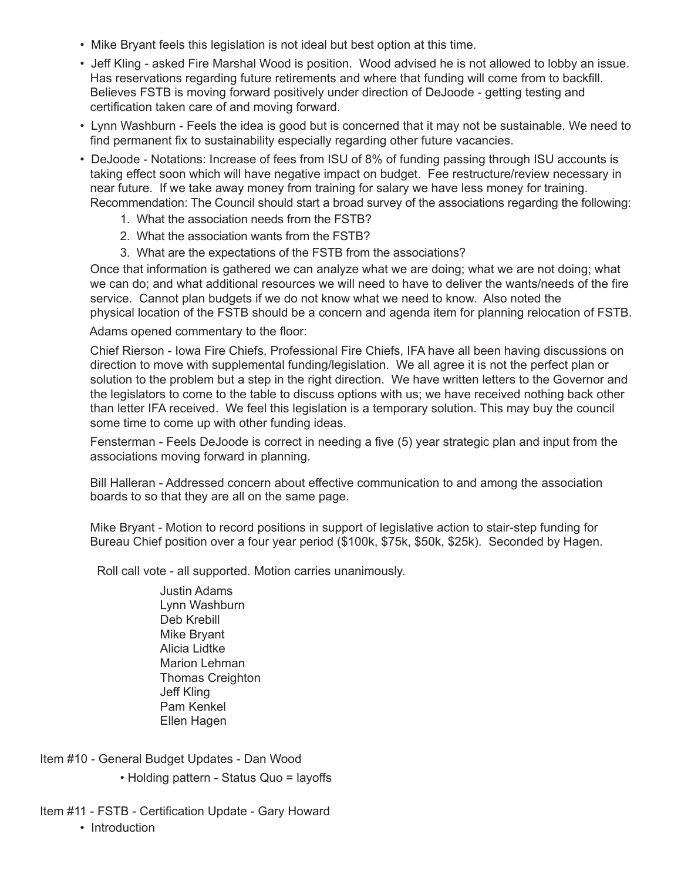- Mike Bryant feels this legislation is not ideal but best option at this time.
- Jeff Kling asked Fire Marshal Wood is position. Wood advised he is not allowed to lobby an issue. Has reservations regarding future retirements and where that funding will come from to backfill. Believes FSTB is moving forward positively under direction of DeJoode - getting testing and certification taken care of and moving forward.
- Lynn Washburn Feels the idea is good but is concerned that it may not be sustainable. We need to find permanent fix to sustainability especially regarding other future vacancies.
- DeJoode Notations: Increase of fees from ISU of 8% of funding passing through ISU accounts is taking effect soon which will have negative impact on budget. Fee restructure/review necessary in near future. If we take away money from training for salary we have less money for training. Recommendation: The Council should start a broad survey of the associations regarding the following:
	- 1. What the association needs from the FSTB?
	- 2. What the association wants from the FSTB?
	- 3. What are the expectations of the FSTB from the associations?

 Once that information is gathered we can analyze what we are doing; what we are not doing; what we can do; and what additional resources we will need to have to deliver the wants/needs of the fire service. Cannot plan budgets if we do not know what we need to know. Also noted the physical location of the FSTB should be a concern and agenda item for planning relocation of FSTB.

Adams opened commentary to the floor:

 Chief Rierson - Iowa Fire Chiefs, Professional Fire Chiefs, IFA have all been having discussions on direction to move with supplemental funding/legislation. We all agree it is not the perfect plan or solution to the problem but a step in the right direction. We have written letters to the Governor and the legislators to come to the table to discuss options with us; we have received nothing back other than letter IFA received. We feel this legislation is a temporary solution. This may buy the council some time to come up with other funding ideas.

 Fensterman - Feels DeJoode is correct in needing a five (5) year strategic plan and input from the associations moving forward in planning.

 Bill Halleran - Addressed concern about effective communication to and among the association boards to so that they are all on the same page.

 Mike Bryant - Motion to record positions in support of legislative action to stair-step funding for Bureau Chief position over a four year period (\$100k, \$75k, \$50k, \$25k). Seconded by Hagen.

Roll call vote - all supported. Motion carries unanimously.

 Justin Adams Lynn Washburn Deb Krebill Mike Bryant Alicia Lidtke Marion Lehman Thomas Creighton Jeff Kling Pam Kenkel Ellen Hagen

- Item #10 General Budget Updates Dan Wood
	- Holding pattern Status Quo = layoffs

Item #11 - FSTB - Certification Update - Gary Howard

• Introduction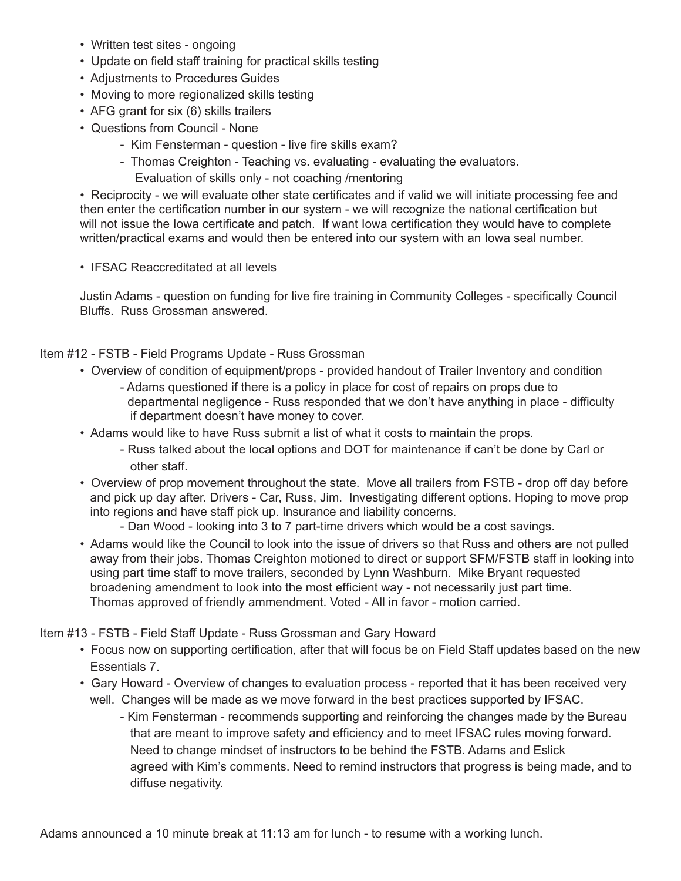- Written test sites ongoing
- Update on field staff training for practical skills testing
- Adjustments to Procedures Guides
- Moving to more regionalized skills testing
- AFG grant for six (6) skills trailers
- Questions from Council None
	- Kim Fensterman question live fire skills exam?
	- Thomas Creighton Teaching vs. evaluating evaluating the evaluators.
		- Evaluation of skills only not coaching /mentoring

• Reciprocity - we will evaluate other state certificates and if valid we will initiate processing fee and then enter the certification number in our system - we will recognize the national certification but will not issue the Iowa certificate and patch. If want Iowa certification they would have to complete written/practical exams and would then be entered into our system with an Iowa seal number.

• IFSAC Reaccreditated at all levels

Justin Adams - question on funding for live fire training in Community Colleges - specifically Council Bluffs. Russ Grossman answered.

Item #12 - FSTB - Field Programs Update - Russ Grossman

- Overview of condition of equipment/props provided handout of Trailer Inventory and condition
	- Adams questioned if there is a policy in place for cost of repairs on props due to departmental negligence - Russ responded that we don't have anything in place - difficulty if department doesn't have money to cover.
- Adams would like to have Russ submit a list of what it costs to maintain the props.
	- Russ talked about the local options and DOT for maintenance if can't be done by Carl or other staff.
- Overview of prop movement throughout the state. Move all trailers from FSTB drop off day before and pick up day after. Drivers - Car, Russ, Jim. Investigating different options. Hoping to move prop into regions and have staff pick up. Insurance and liability concerns.
	- Dan Wood looking into 3 to 7 part-time drivers which would be a cost savings.
- Adams would like the Council to look into the issue of drivers so that Russ and others are not pulled away from their jobs. Thomas Creighton motioned to direct or support SFM/FSTB staff in looking into using part time staff to move trailers, seconded by Lynn Washburn. Mike Bryant requested broadening amendment to look into the most efficient way - not necessarily just part time. Thomas approved of friendly ammendment. Voted - All in favor - motion carried.

Item #13 - FSTB - Field Staff Update - Russ Grossman and Gary Howard

- Focus now on supporting certification, after that will focus be on Field Staff updates based on the new Essentials 7.
- Gary Howard Overview of changes to evaluation process reported that it has been received very well. Changes will be made as we move forward in the best practices supported by IFSAC.
	- Kim Fensterman recommends supporting and reinforcing the changes made by the Bureau that are meant to improve safety and efficiency and to meet IFSAC rules moving forward. Need to change mindset of instructors to be behind the FSTB. Adams and Eslick agreed with Kim's comments. Need to remind instructors that progress is being made, and to diffuse negativity.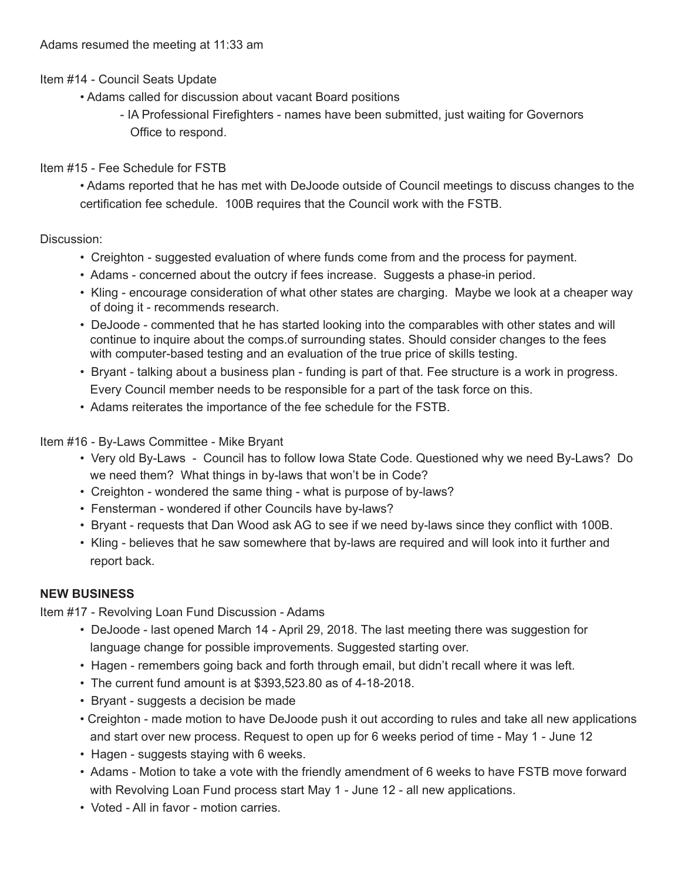Item #14 - Council Seats Update

- Adams called for discussion about vacant Board positions
	- IA Professional Firefighters names have been submitted, just waiting for Governors Office to respond.

## Item #15 - Fee Schedule for FSTB

• Adams reported that he has met with DeJoode outside of Council meetings to discuss changes to the certification fee schedule. 100B requires that the Council work with the FSTB.

## Discussion:

- Creighton suggested evaluation of where funds come from and the process for payment.
- Adams concerned about the outcry if fees increase. Suggests a phase-in period.
- Kling encourage consideration of what other states are charging. Maybe we look at a cheaper way of doing it - recommends research.
- DeJoode commented that he has started looking into the comparables with other states and will continue to inquire about the comps.of surrounding states. Should consider changes to the fees with computer-based testing and an evaluation of the true price of skills testing.
- Bryant talking about a business plan funding is part of that. Fee structure is a work in progress. Every Council member needs to be responsible for a part of the task force on this.
- Adams reiterates the importance of the fee schedule for the FSTB.

Item #16 - By-Laws Committee - Mike Bryant

- Very old By-Laws Council has to follow Iowa State Code. Questioned why we need By-Laws? Do we need them? What things in by-laws that won't be in Code?
- Creighton wondered the same thing what is purpose of by-laws?
- Fensterman wondered if other Councils have by-laws?
- Bryant requests that Dan Wood ask AG to see if we need by-laws since they conflict with 100B.
- Kling believes that he saw somewhere that by-laws are required and will look into it further and report back.

## **NEW BUSINESS**

Item #17 - Revolving Loan Fund Discussion - Adams

- DeJoode last opened March 14 April 29, 2018. The last meeting there was suggestion for language change for possible improvements. Suggested starting over.
- Hagen remembers going back and forth through email, but didn't recall where it was left.
- The current fund amount is at \$393,523.80 as of 4-18-2018.
- Bryant suggests a decision be made
- Creighton made motion to have DeJoode push it out according to rules and take all new applications and start over new process. Request to open up for 6 weeks period of time - May 1 - June 12
- Hagen suggests staying with 6 weeks.
- Adams Motion to take a vote with the friendly amendment of 6 weeks to have FSTB move forward with Revolving Loan Fund process start May 1 - June 12 - all new applications.
- Voted All in favor motion carries.